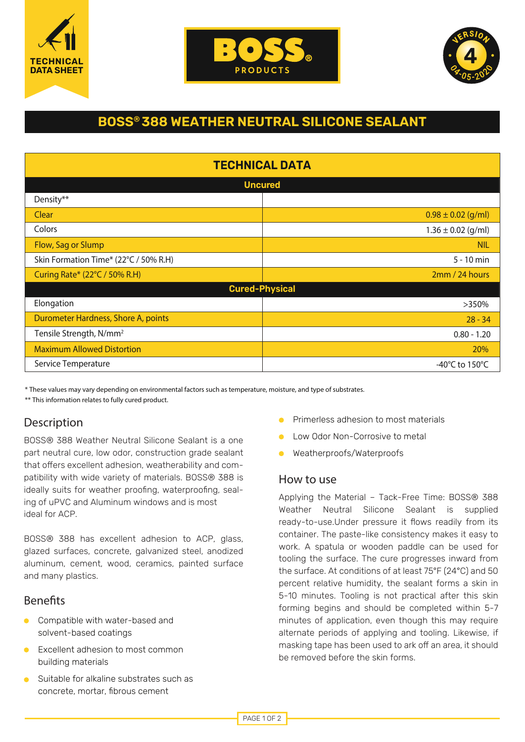





# **BOSS® 388 WEATHER NEUTRAL SILICONE SEALANT**

| <b>TECHNICAL DATA</b>                 |                                      |
|---------------------------------------|--------------------------------------|
| <b>Uncured</b>                        |                                      |
| Density**                             |                                      |
| Clear                                 | $0.98 \pm 0.02$ (g/ml)               |
| Colors                                | $1.36 \pm 0.02$ (g/ml)               |
| Flow, Sag or Slump                    | <b>NIL</b>                           |
| Skin Formation Time* (22°C / 50% R.H) | $5 - 10$ min                         |
| Curing Rate* (22°C / 50% R.H)         | 2mm / 24 hours                       |
| <b>Cured-Physical</b>                 |                                      |
| Elongation                            | >350%                                |
| Durometer Hardness, Shore A, points   | $28 - 34$                            |
| Tensile Strength, N/mm <sup>2</sup>   | $0.80 - 1.20$                        |
| <b>Maximum Allowed Distortion</b>     | 20%                                  |
| Service Temperature                   | -40 $^{\circ}$ C to 150 $^{\circ}$ C |

\* These values may vary depending on environmental factors such as temperature, moisture, and type of substrates. \*\* This information relates to fully cured product.

# Description

BOSS® 388 Weather Neutral Silicone Sealant is a one part neutral cure, low odor, construction grade sealant that offers excellent adhesion, weatherability and compatibility with wide variety of materials. BOSS® 388 is ideally suits for weather proofing, waterproofing, sealing of uPVC and Aluminum windows and is most ideal for ACP.

BOSS® 388 has excellent adhesion to ACP, glass, glazed surfaces, concrete, galvanized steel, anodized aluminum, cement, wood, ceramics, painted surface and many plastics.

# **Benefits**

- Compatible with water-based and solvent-based coatings
- **Excellent adhesion to most common** building materials
- Suitable for alkaline substrates such as concrete, mortar, fibrous cement
- Primerless adhesion to most materials
- Low Odor Non-Corrosive to metal
- Weatherproofs/Waterproofs  $\bullet$

#### How to use

Applying the Material – Tack-Free Time: BOSS® 388 Weather Neutral Silicone Sealant is supplied ready-to-use.Under pressure it flows readily from its container. The paste-like consistency makes it easy to work. A spatula or wooden paddle can be used for tooling the surface. The cure progresses inward from the surface. At conditions of at least 75°F (24°C) and 50 percent relative humidity, the sealant forms a skin in 5-10 minutes. Tooling is not practical after this skin forming begins and should be completed within 5-7 minutes of application, even though this may require alternate periods of applying and tooling. Likewise, if masking tape has been used to ark off an area, it should be removed before the skin forms.